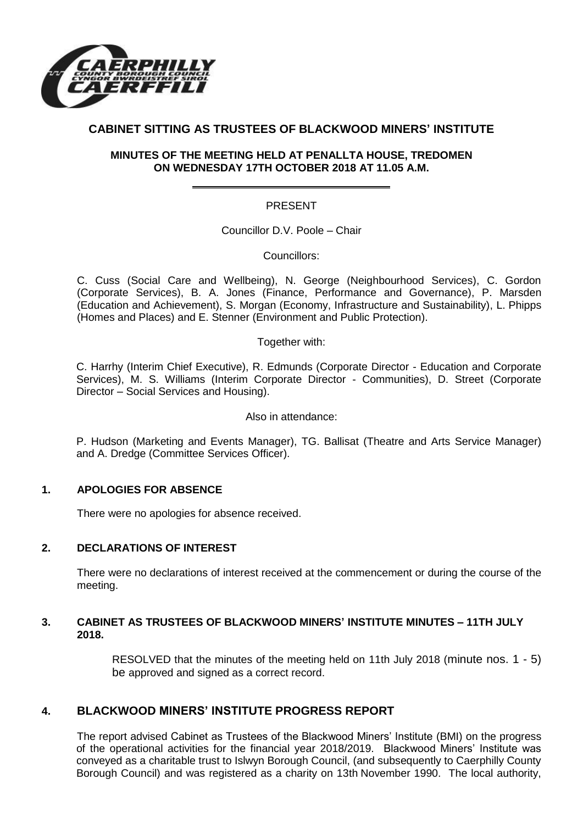

# **CABINET SITTING AS TRUSTEES OF BLACKWOOD MINERS' INSTITUTE**

## **MINUTES OF THE MEETING HELD AT PENALLTA HOUSE, TREDOMEN ON WEDNESDAY 17TH OCTOBER 2018 AT 11.05 A.M.**

## PRESENT

Councillor D.V. Poole – Chair

Councillors:

C. Cuss (Social Care and Wellbeing), N. George (Neighbourhood Services), C. Gordon (Corporate Services), B. A. Jones (Finance, Performance and Governance), P. Marsden (Education and Achievement), S. Morgan (Economy, Infrastructure and Sustainability), L. Phipps (Homes and Places) and E. Stenner (Environment and Public Protection).

Together with:

C. Harrhy (Interim Chief Executive), R. Edmunds (Corporate Director - Education and Corporate Services), M. S. Williams (Interim Corporate Director - Communities), D. Street (Corporate Director – Social Services and Housing).

#### Also in attendance:

P. Hudson (Marketing and Events Manager), TG. Ballisat (Theatre and Arts Service Manager) and A. Dredge (Committee Services Officer).

## **1. APOLOGIES FOR ABSENCE**

There were no apologies for absence received.

## **2. DECLARATIONS OF INTEREST**

There were no declarations of interest received at the commencement or during the course of the meeting.

#### **3. CABINET AS TRUSTEES OF BLACKWOOD MINERS' INSTITUTE MINUTES – 11TH JULY 2018.**

RESOLVED that the minutes of the meeting held on 11th July 2018 (minute nos. 1 - 5) be approved and signed as a correct record.

# **4. BLACKWOOD MINERS' INSTITUTE PROGRESS REPORT**

The report advised Cabinet as Trustees of the Blackwood Miners' Institute (BMI) on the progress of the operational activities for the financial year 2018/2019. Blackwood Miners' Institute was conveyed as a charitable trust to Islwyn Borough Council, (and subsequently to Caerphilly County Borough Council) and was registered as a charity on 13th November 1990. The local authority,